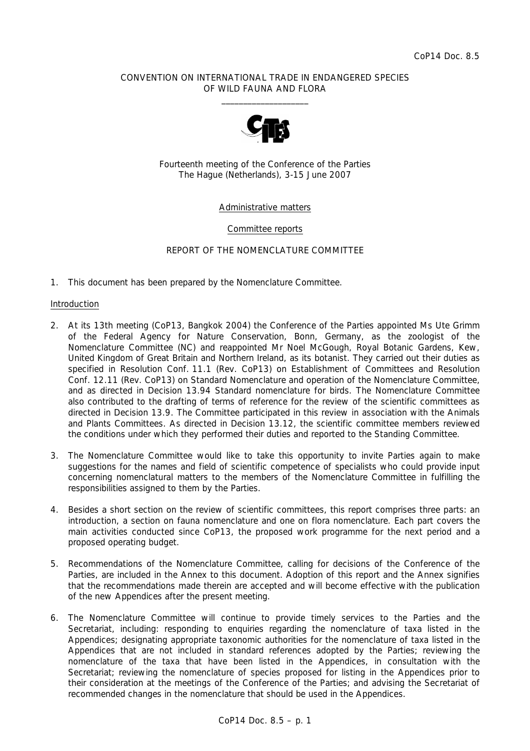## CONVENTION ON INTERNATIONAL TRADE IN ENDANGERED SPECIES OF WILD FAUNA AND FLORA  $\frac{1}{2}$  , and the set of the set of the set of the set of the set of the set of the set of the set of the set of the set of the set of the set of the set of the set of the set of the set of the set of the set of the set



Fourteenth meeting of the Conference of the Parties The Hague (Netherlands), 3-15 June 2007

## Administrative matters

## Committee reports

## REPORT OF THE NOMENCLATURE COMMITTEE

1. This document has been prepared by the Nomenclature Committee.

#### Introduction

- 2. At its 13th meeting (CoP13, Bangkok 2004) the Conference of the Parties appointed Ms Ute Grimm of the Federal Agency for Nature Conservation, Bonn, Germany, as the zoologist of the Nomenclature Committee (NC) and reappointed Mr Noel McGough, Royal Botanic Gardens, Kew, United Kingdom of Great Britain and Northern Ireland, as its botanist. They carried out their duties as specified in Resolution Conf. 11.1 (Rev. CoP13) on Establishment of Committees and Resolution Conf. 12.11 (Rev. CoP13) on Standard Nomenclature and operation of the Nomenclature Committee, and as directed in Decision 13.94 Standard nomenclature for birds. The Nomenclature Committee also contributed to the drafting of terms of reference for the review of the scientific committees as directed in Decision 13.9. The Committee participated in this review in association with the Animals and Plants Committees. As directed in Decision 13.12, the scientific committee members reviewed the conditions under which they performed their duties and reported to the Standing Committee.
- 3. The Nomenclature Committee would like to take this opportunity to invite Parties again to make suggestions for the names and field of scientific competence of specialists who could provide input concerning nomenclatural matters to the members of the Nomenclature Committee in fulfilling the responsibilities assigned to them by the Parties.
- 4. Besides a short section on the review of scientific committees, this report comprises three parts: an introduction, a section on fauna nomenclature and one on flora nomenclature. Each part covers the main activities conducted since CoP13, the proposed work programme for the next period and a proposed operating budget.
- 5. Recommendations of the Nomenclature Committee, calling for decisions of the Conference of the Parties, are included in the Annex to this document. Adoption of this report and the Annex signifies that the recommendations made therein are accepted and will become effective with the publication of the new Appendices after the present meeting.
- 6. The Nomenclature Committee will continue to provide timely services to the Parties and the Secretariat, including: responding to enquiries regarding the nomenclature of taxa listed in the Appendices; designating appropriate taxonomic authorities for the nomenclature of taxa listed in the Appendices that are not included in standard references adopted by the Parties; reviewing the nomenclature of the taxa that have been listed in the Appendices, in consultation with the Secretariat; reviewing the nomenclature of species proposed for listing in the Appendices prior to their consideration at the meetings of the Conference of the Parties; and advising the Secretariat of recommended changes in the nomenclature that should be used in the Appendices.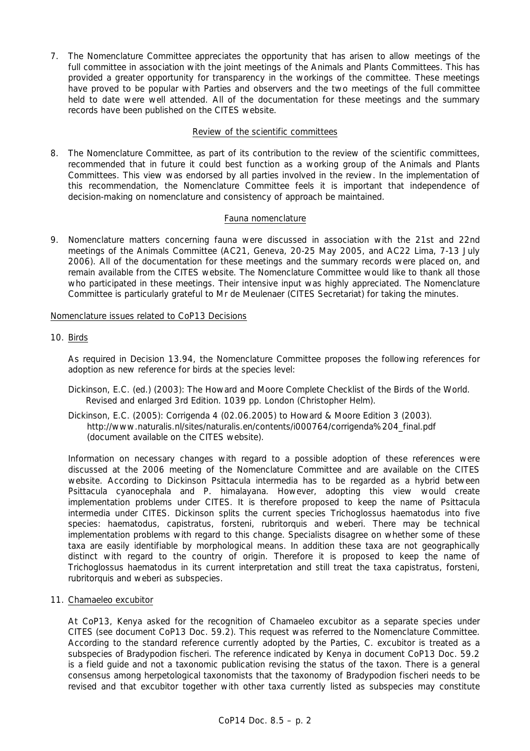7. The Nomenclature Committee appreciates the opportunity that has arisen to allow meetings of the full committee in association with the joint meetings of the Animals and Plants Committees. This has provided a greater opportunity for transparency in the workings of the committee. These meetings have proved to be popular with Parties and observers and the two meetings of the full committee held to date were well attended. All of the documentation for these meetings and the summary records have been published on the CITES website.

## Review of the scientific committees

8. The Nomenclature Committee, as part of its contribution to the review of the scientific committees, recommended that in future it could best function as a working group of the Animals and Plants Committees. This view was endorsed by all parties involved in the review. In the implementation of this recommendation, the Nomenclature Committee feels it is important that independence of decision-making on nomenclature and consistency of approach be maintained.

# Fauna nomenclature

9. Nomenclature matters concerning fauna were discussed in association with the 21st and 22nd meetings of the Animals Committee (AC21, Geneva, 20-25 May 2005, and AC22 Lima, 7-13 July 2006). All of the documentation for these meetings and the summary records were placed on, and remain available from the CITES website. The Nomenclature Committee would like to thank all those who participated in these meetings. Their intensive input was highly appreciated. The Nomenclature Committee is particularly grateful to Mr de Meulenaer (CITES Secretariat) for taking the minutes.

# Nomenclature issues related to CoP13 Decisions

# 10. Birds

 As required in Decision 13.94, the Nomenclature Committee proposes the following references for adoption as new reference for birds at the species level:

- Dickinson, E.C. (ed.) (2003): *The Howard and Moore Complete Checklist of the Birds of the World*. Revised and enlarged 3rd Edition. 1039 pp. London (Christopher Helm).
- Dickinson, E.C. (2005): Corrigenda 4 (02.06.2005) to Howard & Moore Edition 3 (2003). http://www.naturalis.nl/sites/naturalis.en/contents/i000764/corrigenda%204\_final.pdf (document available on the CITES website).

 Information on necessary changes with regard to a possible adoption of these references were discussed at the 2006 meeting of the Nomenclature Committee and are available on the CITES website. According to Dickinson *Psittacula intermedia* has to be regarded as a hybrid between *Psittacula cyanocephala* and *P. himalayana.* However, adopting this view would create implementation problems under CITES. It is therefore proposed to keep the name of *Psittacula intermedia* under CITES. Dickinson splits the current species *Trichoglossus haematodus* into five species: *haematodus, capistratus, forsteni, rubritorquis* and *weberi*. There may be technical implementation problems with regard to this change. Specialists disagree on whether some of these taxa are easily identifiable by morphological means. In addition these taxa are not geographically distinct with regard to the country of origin. Therefore it is proposed to keep the name of *Trichoglossus haematodus* in its current interpretation and still treat the taxa *capistratus, forsteni, rubritorquis* and *weberi* as subspecies.

11. *Chamaeleo excubitor*

 At CoP13, Kenya asked for the recognition of *Chamaeleo excubitor* as a separate species under CITES (see document CoP13 Doc. 59.2). This request was referred to the Nomenclature Committee. According to the standard reference currently adopted by the Parties, *C. excubitor* is treated as a subspecies of *Bradypodion fischeri*. The reference indicated by Kenya in document CoP13 Doc. 59.2 is a field guide and not a taxonomic publication revising the status of the taxon. There is a general consensus among herpetological taxonomists that the taxonomy of *Bradypodion fischeri* needs to be revised and that *excubitor* together with other taxa currently listed as subspecies may constitute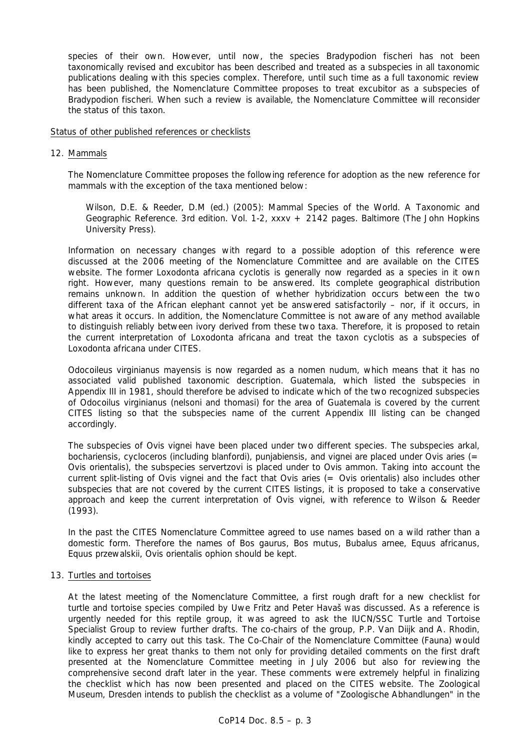species of their own. However, until now, the species *Bradypodion fischeri* has not been taxonomically revised and *excubitor* has been described and treated as a subspecies in all taxonomic publications dealing with this species complex. Therefore, until such time as a full taxonomic review has been published, the Nomenclature Committee proposes to treat *excubitor* as a subspecies of *Bradypodion fischeri.* When such a review is available, the Nomenclature Committee will reconsider the status of this taxon.

#### Status of other published references or checklists

#### 12. Mammals

 The Nomenclature Committee proposes the following reference for adoption as the new reference for mammals with the exception of the taxa mentioned below:

 *Wilson, D.E. & Reeder, D.M (ed.) (2005): Mammal Species of the World. A Taxonomic and Geographic Reference. 3rd edition. Vol. 1-2, xxxv + 2142 pages. Baltimore (The John Hopkins University Press).* 

 Information on necessary changes with regard to a possible adoption of this reference were discussed at the 2006 meeting of the Nomenclature Committee and are available on the CITES website. The former *Loxodonta africana cyclotis* is generally now regarded as a species in it own right. However, many questions remain to be answered. Its complete geographical distribution remains unknown. In addition the question of whether hybridization occurs between the two different taxa of the African elephant cannot yet be answered satisfactorily – nor, if it occurs, in what areas it occurs. In addition, the Nomenclature Committee is not aware of any method available to distinguish reliably between ivory derived from these two taxa. Therefore, it is proposed to retain the current interpretation of *Loxodonta africana* and treat the taxon *cyclotis* as a subspecies of *Loxodonta africana* under CITES.

 *Odocoileus virginianus mayensis* is now regarded as a *nomen nudum*, which means that it has no associated valid published taxonomic description. Guatemala, which listed the subspecies in Appendix III in 1981, should therefore be advised to indicate which of the two recognized subspecies of *Odocoilus virginianus (nelsoni* and *thomasi*) for the area of Guatemala is covered by the current CITES listing so that the subspecies name of the current Appendix III listing can be changed accordingly.

 The subspecies of *Ovis vignei* have been placed under two different species. The subspecies *arkal, bochariensis, cycloceros* (including *blanfordi*), *punjabiensis*, and *vignei* are placed under *Ovis aries* (= *Ovis orientalis*), the subspecies *servertzovi* is placed under to *Ovis ammon*. Taking into account the current split-listing of *Ovis vignei* and the fact that *Ovis aries* (= *Ovis orientalis*) also includes other subspecies that are not covered by the current CITES listings, it is proposed to take a conservative approach and keep the current interpretation of *Ovis vignei*, with reference to Wilson & Reeder (1993).

 In the past the CITES Nomenclature Committee agreed to use names based on a wild rather than a domestic form. Therefore the names of *Bos gaurus, Bos mutus, Bubalus arnee, Equus africanus, Equus przewalskii, Ovis orientalis ophion* should be kept.

## 13. Turtles and tortoises

 At the latest meeting of the Nomenclature Committee, a first rough draft for a new checklist for turtle and tortoise species compiled by Uwe Fritz and Peter Havaš Was discussed. As a reference is urgently needed for this reptile group, it was agreed to ask the IUCN/SSC Turtle and Tortoise Specialist Group to review further drafts. The co-chairs of the group, P.P. Van Diijk and A. Rhodin, kindly accepted to carry out this task. The Co-Chair of the Nomenclature Committee (Fauna) would like to express her great thanks to them not only for providing detailed comments on the first draft presented at the Nomenclature Committee meeting in July 2006 but also for reviewing the comprehensive second draft later in the year. These comments were extremely helpful in finalizing the checklist which has now been presented and placed on the CITES website. The Zoological Museum, Dresden intends to publish the checklist as a volume of "Zoologische Abhandlungen" in the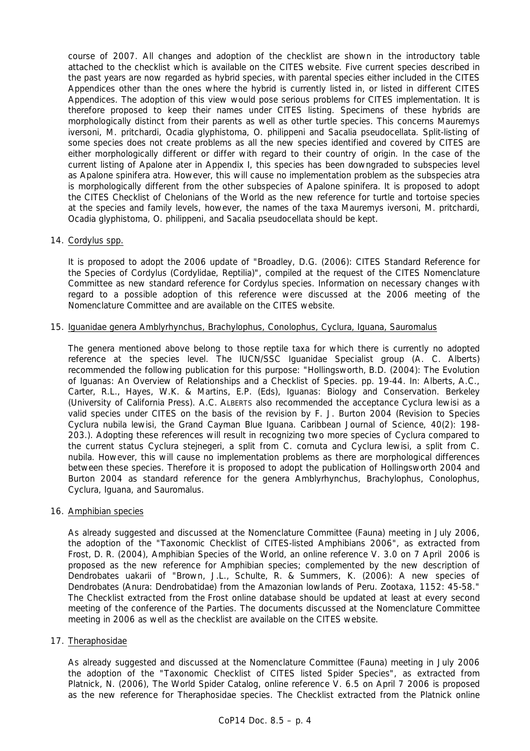course of 2007. All changes and adoption of the checklist are shown in the introductory table attached to the checklist which is available on the CITES website. Five current species described in the past years are now regarded as hybrid species, with parental species either included in the CITES Appendices other than the ones where the hybrid is currently listed in, or listed in different CITES Appendices. The adoption of this view would pose serious problems for CITES implementation. It is therefore proposed to keep their names under CITES listing. Specimens of these hybrids are morphologically distinct from their parents as well as other turtle species. This concerns *Mauremys iversoni, M. pritchardi, Ocadia glyphistoma, O. philippeni* and *Sacalia pseudocellata*. Split-listing of some species does not create problems as all the new species identified and covered by CITES are either morphologically different or differ with regard to their country of origin. In the case of the current listing of *Apalone ater* in Appendix I, this species has been downgraded to subspecies level as *Apalone spinifera atra.* However, this will cause no implementation problem as the subspecies *atra* is morphologically different from the other subspecies of *Apalone spinifera.* It is proposed to adopt the *CITES Checklist of Chelonians of the World* as the new reference for turtle and tortoise species at the species and family levels, however, the names of the taxa *Mauremys iversoni, M. pritchardi, Ocadia glyphistoma, O. philippeni*, and *Sacalia pseudocellata* should be kept.

## 14. *Cordylus* spp.

 It is proposed to adopt the 2006 update of "Broadley, D.G. (2006): *CITES Standard Reference for the Species of* Cordylus *(Cordylidae, Reptilia)*"*,* compiled at the request of the CITES Nomenclature Committee as new standard reference for *Cordylus* species. Information on necessary changes with regard to a possible adoption of this reference were discussed at the 2006 meeting of the Nomenclature Committee and are available on the CITES website.

## 15. Iguanidae genera *Amblyrhynchus, Brachylophus, Conolophus, Cyclura, Iguana, Sauromalus*

 The genera mentioned above belong to those reptile taxa for which there is currently no adopted reference at the species level. The IUCN/SSC Iguanidae Specialist group (A. C. Alberts) recommended the following publication for this purpose: "Hollingsworth, B.D. (2004): The Evolution of Iguanas: An Overview of Relationships and a Checklist of Species. pp. 19-44. In: Alberts, A.C., Carter, R.L., Hayes, W.K. & Martins, E.P. (Eds), *Iguanas: Biology and Conservation*. Berkeley (University of California Press). A.C. ALBERTS also recommended the acceptance *Cyclura lewisi* as a valid species under CITES on the basis of the revision by F. J. Burton 2004 (Revision to Species *Cyclura nubila lewisi*, the Grand Cayman Blue Iguana. *Caribbean Journal of Science*, 40(2): 198- 203.). Adopting these references will result in recognizing two more species of *Cyclura* compared to the current status *Cyclura stejnegeri*, a split from *C. cornuta* and *Cyclura lewisi*, a split from *C. nubila*. However, this will cause no implementation problems as there are morphological differences between these species. Therefore it is proposed to adopt the publication of Hollingsworth 2004 and Burton 2004 as standard reference for the genera *Amblyrhynchus, Brachylophus, Conolophus, Cyclura, Iguana,* and *Sauromalus.*

## 16. Amphibian species

 As already suggested and discussed at the Nomenclature Committee (Fauna) meeting in July 2006, the adoption of the "Taxonomic Checklist of CITES-listed Amphibians 2006", as extracted from Frost, D. R. (2004), *Amphibian Species of the World*, an online reference V. 3.0 on 7 April 2006 is proposed as the new reference for Amphibian species; complemented by the new description of *Dendrobates uakarii* of "Brown, J.L., Schulte, R. & Summers, K. (2006): A new species of Dendrobates (Anura: Dendrobatidae) from the Amazonian lowlands of Peru. *Zootaxa*, 1152: 45-58." The Checklist extracted from the Frost online database should be updated at least at every second meeting of the conference of the Parties. The documents discussed at the Nomenclature Committee meeting in 2006 as well as the checklist are available on the CITES website.

## 17. Theraphosidae

 As already suggested and discussed at the Nomenclature Committee (Fauna) meeting in July 2006 the adoption of the "Taxonomic Checklist of CITES listed Spider Species", as extracted from Platnick, N. (2006), *The World Spider Catalog*, online reference V. 6.5 on April 7 2006 is proposed as the new reference for Theraphosidae species. The Checklist extracted from the Platnick online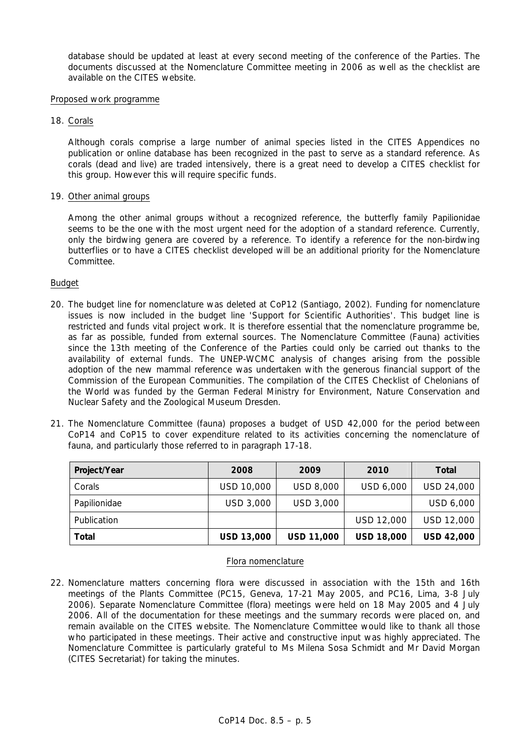database should be updated at least at every second meeting of the conference of the Parties. The documents discussed at the Nomenclature Committee meeting in 2006 as well as the checklist are available on the CITES website.

#### Proposed work programme

18. Corals

 Although corals comprise a large number of animal species listed in the CITES Appendices no publication or online database has been recognized in the past to serve as a standard reference. As corals (dead and live) are traded intensively, there is a great need to develop a CITES checklist for this group. However this will require specific funds.

## 19. Other animal groups

 Among the other animal groups without a recognized reference, the butterfly family Papilionidae seems to be the one with the most urgent need for the adoption of a standard reference. Currently, only the birdwing genera are covered by a reference. To identify a reference for the non-birdwing butterflies or to have a CITES checklist developed will be an additional priority for the Nomenclature Committee.

## Budget

- 20. The budget line for nomenclature was deleted at CoP12 (Santiago, 2002). Funding for nomenclature issues is now included in the budget line 'Support for Scientific Authorities'. This budget line is restricted and funds vital project work. It is therefore essential that the nomenclature programme be, as far as possible, funded from external sources. The Nomenclature Committee (Fauna) activities since the 13th meeting of the Conference of the Parties could only be carried out thanks to the availability of external funds. The UNEP-WCMC analysis of changes arising from the possible adoption of the new mammal reference was undertaken with the generous financial support of the Commission of the European Communities. The compilation of the CITES *Checklist of Chelonians of the World* was funded by the German Federal Ministry for Environment, Nature Conservation and Nuclear Safety and the Zoological Museum Dresden.
- 21. The Nomenclature Committee (fauna) proposes a budget of USD 42,000 for the period between CoP14 and CoP15 to cover expenditure related to its activities concerning the nomenclature of fauna, and particularly those referred to in paragraph 17-18.

| Project/Year | 2008              | 2009              | 2010              | <b>Total</b>      |
|--------------|-------------------|-------------------|-------------------|-------------------|
| Corals       | USD 10,000        | USD 8,000         | USD 6,000         | USD 24,000        |
| Papilionidae | USD 3,000         | USD 3,000         |                   | USD 6,000         |
| Publication  |                   |                   | USD 12,000        | USD 12,000        |
| Total        | <b>USD 13,000</b> | <b>USD 11,000</b> | <b>USD 18,000</b> | <b>USD 42,000</b> |

## Flora nomenclature

22. Nomenclature matters concerning flora were discussed in association with the 15th and 16th meetings of the Plants Committee (PC15, Geneva, 17-21 May 2005, and PC16, Lima, 3-8 July 2006). Separate Nomenclature Committee (flora) meetings were held on 18 May 2005 and 4 July 2006. All of the documentation for these meetings and the summary records were placed on, and remain available on the CITES website. The Nomenclature Committee would like to thank all those who participated in these meetings. Their active and constructive input was highly appreciated. The Nomenclature Committee is particularly grateful to Ms Milena Sosa Schmidt and Mr David Morgan (CITES Secretariat) for taking the minutes.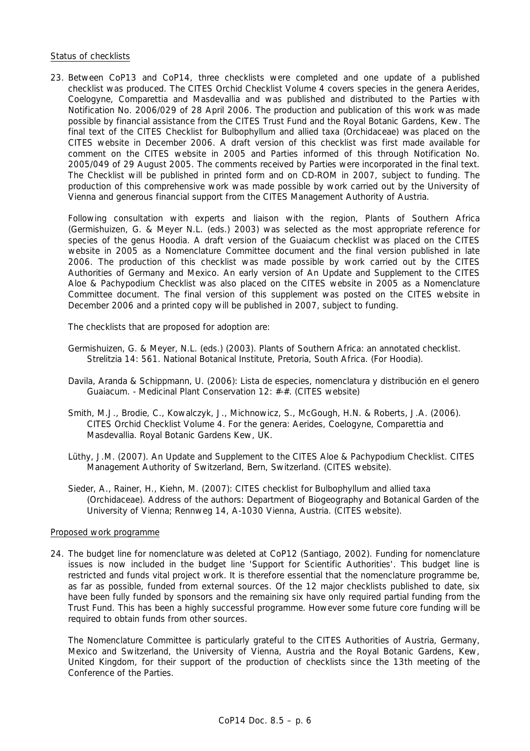#### Status of checklists

23. Between CoP13 and CoP14, three checklists were completed and one update of a published checklist was produced. *The CITES Orchid Checklist Volume 4* covers species in the genera *Aerides, Coelogyne, Comparettia* and *Masdevallia* and was published and distributed to the Parties with Notification No. 2006/029 of 28 April 2006. The production and publication of this work was made possible by financial assistance from the CITES Trust Fund and the Royal Botanic Gardens, Kew. The final text of the *CITES Checklist for Bulbophyllum and allied taxa* (Orchidaceae) was placed on the CITES website in December 2006. A draft version of this checklist was first made available for comment on the CITES website in 2005 and Parties informed of this through Notification No. 2005/049 of 29 August 2005. The comments received by Parties were incorporated in the final text. The Checklist will be published in printed form and on CD-ROM in 2007, subject to funding. The production of this comprehensive work was made possible by work carried out by the University of Vienna and generous financial support from the CITES Management Authority of Austria.

 Following consultation with experts and liaison with the region, *Plants of Southern Africa*  (Germishuizen, G. & Meyer N.L. (eds.) 2003) was selected as the most appropriate reference for species of the genus *Hoodia*. A draft version of the *Guaiacum* checklist was placed on the CITES website in 2005 as a Nomenclature Committee document and the final version published in late 2006. The production of this checklist was made possible by work carried out by the CITES Authorities of Germany and Mexico. An early version of *An Update and Supplement to the CITES Aloe & Pachypodium Checklist* was also placed on the CITES website in 2005 as a Nomenclature Committee document. The final version of this supplement was posted on the CITES website in December 2006 and a printed copy will be published in 2007, subject to funding.

The checklists that are proposed for adoption are:

- Germishuizen, G. & Meyer, N.L. (eds.) (2003). Plants of Southern Africa: an annotated checklist. *Strelitzia* 14: 561. National Botanical Institute, Pretoria, South Africa. (For *Hoodia*).
- Davila, Aranda & Schippmann, U. (2006): Lista de especies, nomenclatura y distribución en el genero Guaiacum. - Medicinal Plant Conservation 12: #-#. (CITES website)
- Smith, M.J., Brodie, C., Kowalczyk, J., Michnowicz, S., McGough, H.N. & Roberts, J.A. (2006). *CITES Orchid Checklist Volume 4*. For the genera: *Aerides*, *Coelogyne*, *Comparettia* and *Masdevallia*. Royal Botanic Gardens Kew, UK.
- Lüthy, J.M. (2007). *An Update and Supplement to the CITES* Aloe *&* Pachypodium *Checklist.* CITES Management Authority of Switzerland, Bern, Switzerland. (CITES website).
- Sieder, A., Rainer, H., Kiehn, M. (2007): *CITES checklist for* Bulbophyllum *and allied taxa (Orchidaceae)*. Address of the authors: Department of Biogeography and Botanical Garden of the University of Vienna; Rennweg 14, A-1030 Vienna, Austria. (CITES website).

#### Proposed work programme

24. The budget line for nomenclature was deleted at CoP12 (Santiago, 2002). Funding for nomenclature issues is now included in the budget line 'Support for Scientific Authorities'. This budget line is restricted and funds vital project work. It is therefore essential that the nomenclature programme be, as far as possible, funded from external sources. Of the 12 major checklists published to date, six have been fully funded by sponsors and the remaining six have only required partial funding from the Trust Fund. This has been a highly successful programme. However some future core funding will be required to obtain funds from other sources.

 The Nomenclature Committee is particularly grateful to the CITES Authorities of Austria, Germany, Mexico and Switzerland, the University of Vienna, Austria and the Royal Botanic Gardens, Kew, United Kingdom, for their support of the production of checklists since the 13th meeting of the Conference of the Parties.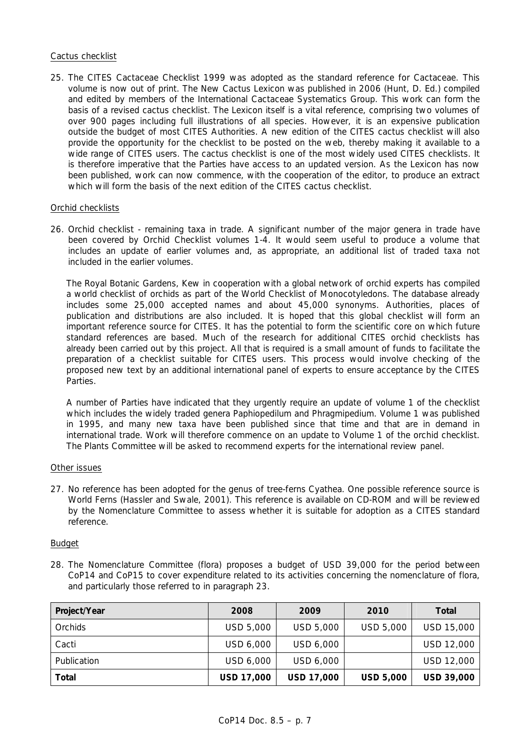## Cactus checklist

25. The *CITES Cactaceae Checklist* 1999 was adopted as the standard reference for Cactaceae. This volume is now out of print. *The New Cactus Lexicon* was published in 2006 (Hunt, D. Ed.) compiled and edited by members of the International Cactaceae Systematics Group. This work can form the basis of a revised cactus checklist. The Lexicon itself is a vital reference, comprising two volumes of over 900 pages including full illustrations of all species. However, it is an expensive publication outside the budget of most CITES Authorities. A new edition of the CITES cactus checklist will also provide the opportunity for the checklist to be posted on the web, thereby making it available to a wide range of CITES users. The cactus checklist is one of the most widely used CITES checklists. It is therefore imperative that the Parties have access to an updated version. As the Lexicon has now been published, work can now commence, with the cooperation of the editor, to produce an extract which will form the basis of the next edition of the CITES cactus checklist.

## Orchid checklists

26. Orchid checklist - remaining taxa in trade. A significant number of the major genera in trade have been covered by *Orchid Checklist* volumes 1-4. It would seem useful to produce a volume that includes an update of earlier volumes and, as appropriate, an additional list of traded taxa not included in the earlier volumes.

The Royal Botanic Gardens, Kew in cooperation with a global network of orchid experts has compiled a world checklist of orchids as part of the *World Checklist of Monocotyledons*. The database already includes some 25,000 accepted names and about 45,000 synonyms. Authorities, places of publication and distributions are also included. It is hoped that this global checklist will form an important reference source for CITES. It has the potential to form the scientific core on which future standard references are based. Much of the research for additional CITES orchid checklists has already been carried out by this project. All that is required is a small amount of funds to facilitate the preparation of a checklist suitable for CITES users. This process would involve checking of the proposed new text by an additional international panel of experts to ensure acceptance by the CITES Parties.

A number of Parties have indicated that they urgently require an update of volume 1 of the checklist which includes the widely traded genera *Paphiopedilum* and *Phragmipedium.* Volume 1 was published in 1995, and many new taxa have been published since that time and that are in demand in international trade. Work will therefore commence on an update to Volume 1 of the orchid checklist. The Plants Committee will be asked to recommend experts for the international review panel.

#### Other issues

27. No reference has been adopted for the genus of tree-ferns *Cyathea.* One possible reference source is *World Ferns* (Hassler and Swale, 2001). This reference is available on CD-ROM and will be reviewed by the Nomenclature Committee to assess whether it is suitable for adoption as a CITES standard reference.

#### Budget

28. The Nomenclature Committee (flora) proposes a budget of USD 39,000 for the period between CoP14 and CoP15 to cover expenditure related to its activities concerning the nomenclature of flora, and particularly those referred to in paragraph 23.

| Project/Year | 2008              | 2009       | 2010             | Total             |
|--------------|-------------------|------------|------------------|-------------------|
| Orchids      | USD 5,000         | USD 5,000  | USD 5,000        | USD 15,000        |
| Cacti        | USD 6,000         | USD 6,000  |                  | USD 12,000        |
| Publication  | USD 6,000         | USD 6,000  |                  | <b>USD 12,000</b> |
| Total        | <b>USD 17,000</b> | USD 17,000 | <b>USD 5,000</b> | USD 39,000        |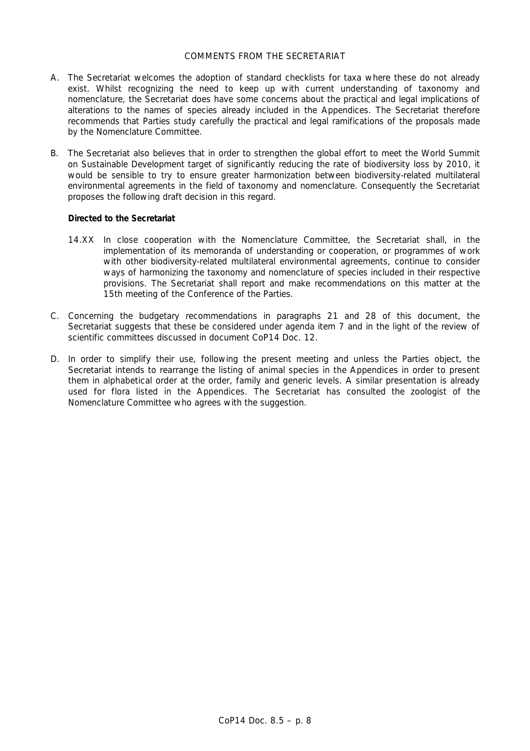## COMMENTS FROM THE SECRETARIAT

- A. The Secretariat welcomes the adoption of standard checklists for taxa where these do not already exist. Whilst recognizing the need to keep up with current understanding of taxonomy and nomenclature, the Secretariat does have some concerns about the practical and legal implications of alterations to the names of species already included in the Appendices. The Secretariat therefore recommends that Parties study carefully the practical and legal ramifications of the proposals made by the Nomenclature Committee.
- B. The Secretariat also believes that in order to strengthen the global effort to meet the World Summit on Sustainable Development target of significantly reducing the rate of biodiversity loss by 2010, it would be sensible to try to ensure greater harmonization between biodiversity-related multilateral environmental agreements in the field of taxonomy and nomenclature. Consequently the Secretariat proposes the following draft decision in this regard.

## *Directed to the Secretariat*

- 14.XX In close cooperation with the Nomenclature Committee, the Secretariat shall, in the implementation of its memoranda of understanding or cooperation, or programmes of work with other biodiversity-related multilateral environmental agreements, continue to consider ways of harmonizing the taxonomy and nomenclature of species included in their respective provisions. The Secretariat shall report and make recommendations on this matter at the 15th meeting of the Conference of the Parties.
- C. Concerning the budgetary recommendations in paragraphs 21 and 28 of this document, the Secretariat suggests that these be considered under agenda item 7 and in the light of the review of scientific committees discussed in document CoP14 Doc. 12.
- D. In order to simplify their use, following the present meeting and unless the Parties object, the Secretariat intends to rearrange the listing of animal species in the Appendices in order to present them in alphabetical order at the order, family and generic levels. A similar presentation is already used for flora listed in the Appendices. The Secretariat has consulted the zoologist of the Nomenclature Committee who agrees with the suggestion.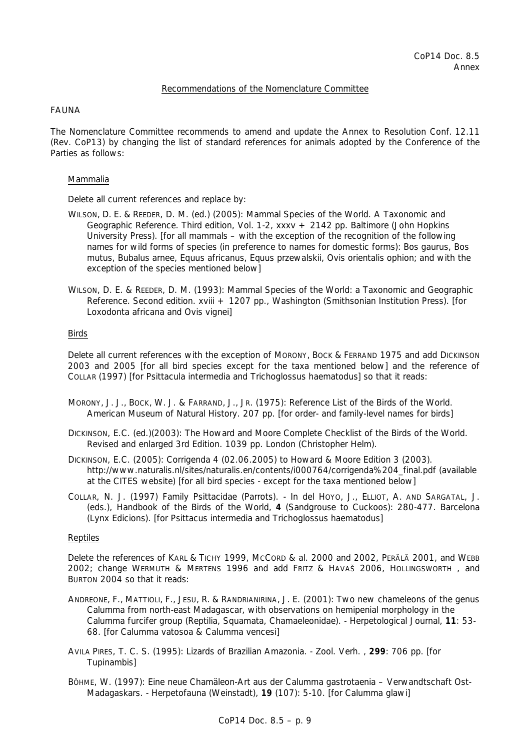## Recommendations of the Nomenclature Committee

## FAUNA

The Nomenclature Committee recommends to amend and update the Annex to Resolution Conf. 12.11 (Rev. CoP13) by changing the list of standard references for animals adopted by the Conference of the Parties as follows:

## Mammalia

Delete all current references and replace by:

- WILSON, D. E. & REEDER, D. M. (ed.) (2005): Mammal Species of the World. A Taxonomic and Geographic Reference. Third edition, Vol. 1-2, xxxv + 2142 pp. Baltimore (John Hopkins University Press). [for all mammals – with the exception of the recognition of the following names for wild forms of species (in preference to names for domestic forms): *Bos gaurus, Bos mutus, Bubalus arnee, Equus africanus, Equus przewalskii, Ovis orientalis ophion;* and with the exception of the species mentioned below]
- WILSON, D. E. & REEDER, D. M. (1993): Mammal Species of the World: a Taxonomic and Geographic Reference. Second edition. xviii + 1207 pp., Washington (Smithsonian Institution Press). [for *Loxodonta africana* and *Ovis vignei*]

## Birds

 Delete all current references with the exception of MORONY, BOCK & FERRAND 1975 and add DICKINSON 2003 and 2005 [for all bird species except for the taxa mentioned below] and the reference of COLLAR (1997) [for *Psittacula intermedia* and *Trichoglossus haematodus*] so that it reads:

- MORONY, J. J., BOCK, W. J. & FARRAND, J., JR. (1975): Reference List of the Birds of the World. American Museum of Natural History. 207 pp. [for order- and family-level names for birds]
- DICKINSON, E.C. (ed.)(2003): The Howard and Moore Complete Checklist of the Birds of the World. Revised and enlarged 3rd Edition. 1039 pp. London (Christopher Helm).
- DICKINSON, E.C. (2005): Corrigenda 4 (02.06.2005) to Howard & Moore Edition 3 (2003). http://www.naturalis.nl/sites/naturalis.en/contents/i000764/corrigenda%204\_final.pdf (available at the CITES website) [for all bird species - except for the taxa mentioned below]
- COLLAR, N. J. (1997) Family Psittacidae (Parrots). In del HOYO, J., ELLIOT, A. AND SARGATAL, J. (eds.), Handbook of the Birds of the World, **4** (Sandgrouse to Cuckoos): 280-477. Barcelona (Lynx Edicions). [for *Psittacus intermedia* and *Trichoglossus haematodus*]

#### Reptiles

 Delete the references of KARL & TICHY 1999, MCCORD & al. 2000 and 2002, PERÄLÄ 2001, and WEBB 2002; change WERMUTH & MERTENS 1996 and add FRITZ & HAVAŠ 2006, HOLLINGSWORTH , and BURTON 2004 so that it reads:

- ANDREONE, F., MATTIOLI, F., JESU, R. & RANDRIANIRINA, J. E. (2001): Two new chameleons of the genus *Calumma* from north-east Madagascar, with observations on hemipenial morphology in the *Calumma furcifer* group (Reptilia, Squamata, Chamaeleonidae). - Herpetological Journal, **11**: 53- 68. [for *Calumma vatosoa* & *Calumma vencesi*]
- AVILA PIRES, T. C. S. (1995): Lizards of Brazilian Amazonia. Zool. Verh. , **299**: 706 pp. [for *Tupinambis*]
- BÖHME, W. (1997): Eine neue Chamäleon-Art aus der *Calumma gastrotaenia* Verwandtschaft Ost-Madagaskars. - Herpetofauna (Weinstadt), **19** (107): 5-10. [for *Calumma glawi*]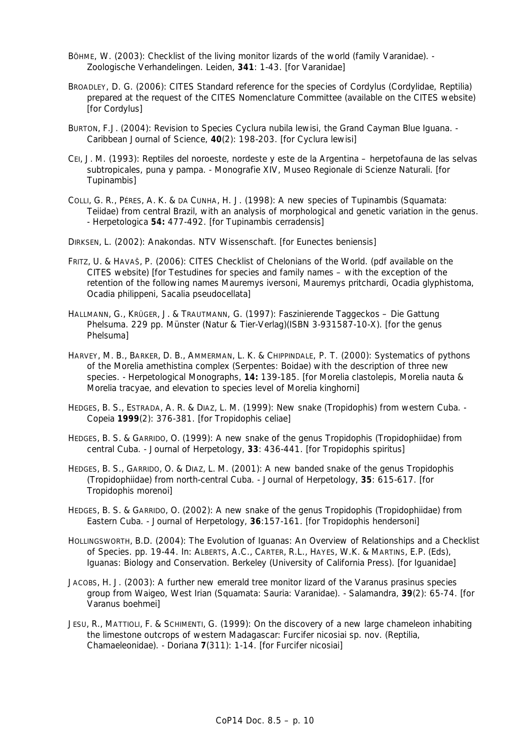- BÖHME, W. (2003): Checklist of the living monitor lizards of the world (family Varanidae). Zoologische Verhandelingen. Leiden, **341**: 1-43. [for Varanidae]
- BROADLEY, D. G. (2006): CITES Standard reference for the species of *Cordylus* (Cordylidae, Reptilia) prepared at the request of the CITES Nomenclature Committee (available on the CITES website) [for *Cordylus*]
- BURTON, F.J. (2004): Revision to Species *Cyclura nubila lewisi*, the Grand Cayman Blue Iguana. Caribbean Journal of Science, **40**(2): 198-203. [for *Cyclura lewisi*]
- CEI, J. M. (1993): Reptiles del noroeste, nordeste y este de la Argentina herpetofauna de las selvas subtropicales, puna y pampa. - Monografie XIV, Museo Regionale di Scienze Naturali. [for *Tupinambis*]
- COLLI, G. R., PÉRES, A. K. & DA CUNHA, H. J. (1998): A new species of *Tupinambis* (Squamata: Teiidae) from central Brazil, with an analysis of morphological and genetic variation in the genus. - Herpetologica **54:** 477-492. [for *Tupinambis cerradensis*]

DIRKSEN, L. (2002): Anakondas. NTV Wissenschaft. [for *Eunectes beniensis*]

- FRITZ, U. & HAVAŠ, P. (2006): CITES Checklist of Chelonians of the World. (pdf available on the CITES website) [for Testudines for species and family names – with the exception of the retention of the following names *Mauremys iversoni, Mauremys pritchardi, Ocadia glyphistoma, Ocadia philippeni, Sacalia pseudocellata*]
- HALLMANN, G., KRÜGER, J. & TRAUTMANN, G. (1997): Faszinierende Taggeckos Die Gattung *Phelsuma*. 229 pp. Münster (Natur & Tier-Verlag)(ISBN 3-931587-10-X). [for the genus *Phelsuma*]
- HARVEY, M. B., BARKER, D. B., AMMERMAN, L. K. & CHIPPINDALE, P. T. (2000): Systematics of pythons of the *Morelia amethistina* complex (Serpentes: Boidae) with the description of three new species. - Herpetological Monographs, **14:** 139-185. [for *Morelia clastolepis, Morelia nauta* & *Morelia tracyae*, and elevation to species level of *Morelia kinghorni*]
- HEDGES, B. S., ESTRADA, A. R. & DIAZ, L. M. (1999): New snake (*Tropidophis*) from western Cuba. Copeia **1999**(2): 376-381. [for *Tropidophis celiae*]
- HEDGES, B. S. & GARRIDO, O. (1999): A new snake of the genus *Tropidophis* (Tropidophiidae) from central Cuba. - Journal of Herpetology, **33**: 436-441. [for *Tropidophis spiritus*]
- HEDGES, B. S., GARRIDO, O. & DIAZ, L. M. (2001): A new banded snake of the genus *Tropidophis*  (Tropidophiidae) from north-central Cuba. - Journal of Herpetology, **35**: 615-617. [for *Tropidophis morenoi*]
- HEDGES, B. S. & GARRIDO, O. (2002): A new snake of the *genus Tropidophis* (Tropidophiidae) from Eastern Cuba. - Journal of Herpetology, **36**:157-161. [for *Tropidophis hendersoni*]
- HOLLINGSWORTH, B.D. (2004): The Evolution of Iguanas: An Overview of Relationships and a Checklist of Species. pp. 19-44. In: ALBERTS, A.C., CARTER, R.L., HAYES, W.K. & MARTINS, E.P. (Eds), Iguanas: Biology and Conservation. Berkeley (University of California Press). [for Iguanidae]
- JACOBS, H. J. (2003): A further new emerald tree monitor lizard of the *Varanus prasinus* species group from Waigeo, West Irian (Squamata: Sauria: Varanidae). - Salamandra, **39**(2): 65-74. [for *Varanus boehmei*]
- JESU, R., MATTIOLI, F. & SCHIMENTI, G. (1999): On the discovery of a new large chameleon inhabiting the limestone outcrops of western Madagascar: *Furcifer nicosiai sp. nov.* (Reptilia, Chamaeleonidae). - Doriana **7**(311): 1-14. [for *Furcifer nicosiai*]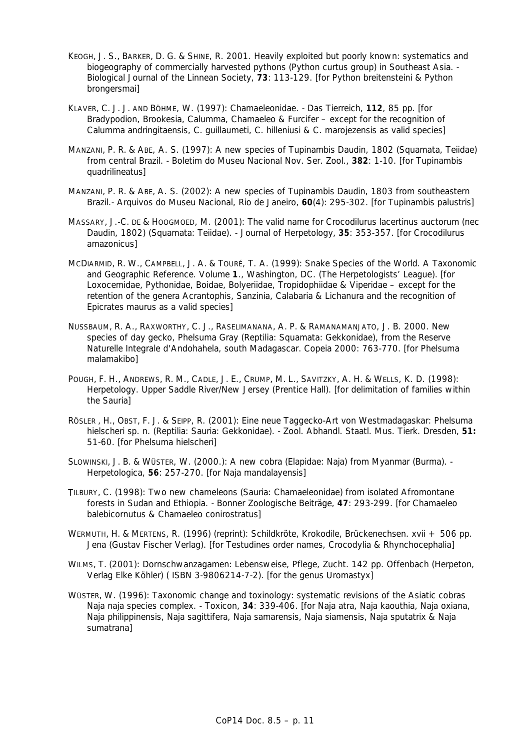- KEOGH, J. S., BARKER, D. G. & SHINE, R. 2001. Heavily exploited but poorly known: systematics and biogeography of commercially harvested pythons (*Python curtus* group) in Southeast Asia. - Biological Journal of the Linnean Society, **73**: 113-129. [for *Python breitensteini* & *Python brongersmai*]
- KLAVER, C. J. J. AND BÖHME, W. (1997): Chamaeleonidae. Das Tierreich, **112**, 85 pp. [for *Bradypodion, Brookesia, Calumma, Chamaeleo* & *Furcifer* – except for the recognition of *Calumma andringitaensis, C. guillaumeti, C. hilleniusi* & *C. marojezensis* as valid species]
- MANZANI, P. R. & ABE, A. S. (1997): A new species of *Tupinambis* Daudin, 1802 (Squamata, Teiidae) from central Brazil. - Boletim do Museu Nacional Nov. Ser. Zool., **382**: 1-10. [for *Tupinambis quadrilineatus*]
- MANZANI, P. R. & ABE, A. S. (2002): A new species of *Tupinambis* Daudin, 1803 from southeastern Brazil.- Arquivos do Museu Nacional, Rio de Janeiro, **60**(4): 295-302. [for *Tupinambis palustris*]
- MASSARY, J.-C. DE & HOOGMOED, M. (2001): The valid name for *Crocodilurus lacertinus auctorum* (nec Daudin, 1802) (Squamata: Teiidae). - Journal of Herpetology, **35**: 353-357. [for *Crocodilurus amazonicus*]
- MCDIARMID, R. W., CAMPBELL, J. A. & TOURÉ, T. A. (1999): Snake Species of the World. A Taxonomic and Geographic Reference. Volume **1**., Washington, DC. (The Herpetologists' League). [for Loxocemidae, Pythonidae, Boidae, Bolyeriidae, Tropidophiidae & Viperidae – except for the retention of the genera *Acrantophis, Sanzinia, Calabaria* & *Lichanura* and the recognition of *Epicrates maurus* as a valid species]
- NUSSBAUM, R. A., RAXWORTHY, C. J., RASELIMANANA, A. P. & RAMANAMANJATO, J. B. 2000. New species of day gecko, *Phelsuma* Gray (Reptilia: Squamata: Gekkonidae), from the Reserve Naturelle Integrale d'Andohahela, south Madagascar. *Copeia* 2000: 763-770. [for *Phelsuma malamakibo*]
- POUGH, F. H., ANDREWS, R. M., CADLE, J. E., CRUMP, M. L., SAVITZKY, A. H. & WELLS, K. D. (1998): Herpetology. Upper Saddle River/New Jersey (Prentice Hall). [for delimitation of families within the Sauria]
- RÖSLER , H., OBST, F. J. & SEIPP, R. (2001): Eine neue Taggecko-Art von Westmadagaskar: *Phelsuma hielscheri* sp. n. (Reptilia: Sauria: Gekkonidae). - Zool. Abhandl. Staatl. Mus. Tierk. Dresden, **51:** 51-60. [for *Phelsuma hielscheri*]
- SLOWINSKI, J. B. & WÜSTER, W. (2000.): A new cobra (Elapidae: Naja) from Myanmar (Burma). Herpetologica, **56**: 257-270. [for *Naja mandalayensis*]
- TILBURY, C. (1998): Two new chameleons (Sauria: Chamaeleonidae) from isolated Afromontane forests in Sudan and Ethiopia. - Bonner Zoologische Beiträge, **47**: 293-299. [for *Chamaeleo balebicornutus* & *Chamaeleo conirostratus*]
- WERMUTH, H. & MERTENS, R. (1996) (reprint): Schildkröte, Krokodile, Brückenechsen. xvii + 506 pp. Jena (Gustav Fischer Verlag). [for Testudines order names, Crocodylia & Rhynchocephalia]
- WILMS, T. (2001): Dornschwanzagamen: Lebensweise, Pflege, Zucht. 142 pp. Offenbach (Herpeton, Verlag Elke Köhler) ( ISBN 3-9806214-7-2). [for the genus *Uromastyx*]
- WÜSTER, W. (1996): Taxonomic change and toxinology: systematic revisions of the Asiatic cobras *Naja naja* species complex. - Toxicon, **34**: 339-406. [for *Naja atra, Naja kaouthia, Naja oxiana, Naja philippinensis, Naja sagittifera, Naja samarensis, Naja siamensis, Naja sputatrix* & *Naja sumatrana*]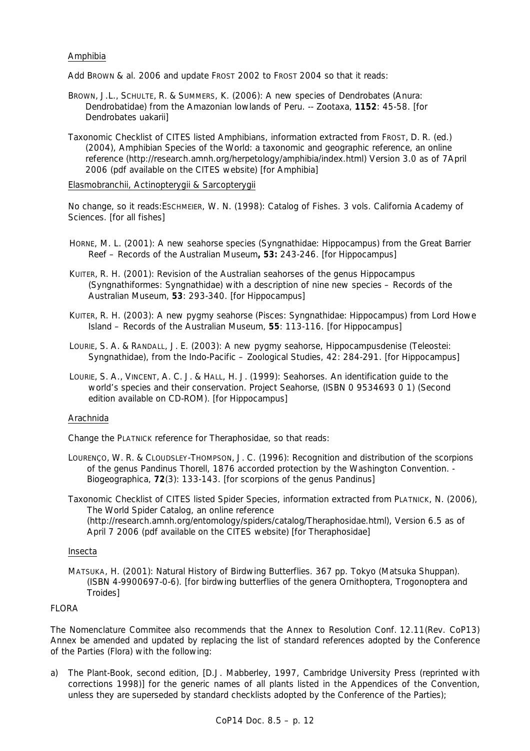## Amphibia

Add BROWN & al. 2006 and update FROST 2002 to FROST 2004 so that it reads:

- BROWN, J.L., SCHULTE, R. & SUMMERS, K. (2006): A new species of *Dendrobates* (Anura: Dendrobatidae) from the Amazonian lowlands of Peru. -- Zootaxa, **1152**: 45-58. [for *Dendrobates uakarii*]
- Taxonomic Checklist of CITES listed Amphibians, information extracted from FROST, D. R. (ed.) (2004), Amphibian Species of the World: a taxonomic and geographic reference, an online reference (http://research.amnh.org/herpetology/amphibia/index.html) Version 3.0 as of 7April 2006 (pdf available on the CITES website) [for Amphibia]

Elasmobranchii, Actinopterygii & Sarcopterygii

 No change, so it reads:ESCHMEIER, W. N. (1998): Catalog of Fishes. 3 vols. California Academy of Sciences. [for all fishes]

- HORNE, M. L. (2001): A new seahorse species (Syngnathidae: *Hippocampus*) from the Great Barrier Reef – Records of the Australian Museum**, 53:** 243-246. [for *Hippocampus*]
- KUITER, R. H. (2001): Revision of the Australian seahorses of the genus *Hippocampus* (Syngnathiformes: Syngnathidae) with a description of nine new species – Records of the Australian Museum, **53**: 293-340. [for *Hippocampus*]
- KUITER, R. H. (2003): A new pygmy seahorse (Pisces: Syngnathidae: *Hippocampus*) from Lord Howe Island – Records of the Australian Museum, **55**: 113-116. [for *Hippocampus*]
- LOURIE, S. A. & RANDALL, J. E. (2003): A new pygmy seahorse, *Hippocampusdenise* (Teleostei: Syngnathidae), from the Indo-Pacific – Zoological Studies, 42: 284-291. [for *Hippocampus*]
- LOURIE, S. A., VINCENT, A. C. J. & HALL, H. J. (1999): Seahorses. An identification guide to the world's species and their conservation. Project Seahorse, (ISBN 0 9534693 0 1) (Second edition available on CD-ROM). [for *Hippocampus*]

#### Arachnida

Change the PLATNICK reference for Theraphosidae, so that reads:

LOURENÇO, W. R. & CLOUDSLEY-THOMPSON, J. C. (1996): Recognition and distribution of the scorpions of the genus *Pandinus* Thorell, 1876 accorded protection by the Washington Convention. - Biogeographica, **72**(3): 133-143. [for scorpions of the genus *Pandinus*]

Taxonomic Checklist of CITES listed Spider Species, information extracted from PLATNICK, N. (2006), The World Spider Catalog, an online reference (http://research.amnh.org/entomology/spiders/catalog/Theraphosidae.html), Version 6.5 as of April 7 2006 (pdf available on the CITES website) [for Theraphosidae]

#### Insecta

MATSUKA, H. (2001): Natural History of Birdwing Butterflies. 367 pp. Tokyo (Matsuka Shuppan). (ISBN 4-9900697-0-6). [for birdwing butterflies of the genera *Ornithoptera*, *Trogonoptera* and *Troides*]

#### **FLORA**

The Nomenclature Commitee also recommends that the Annex to Resolution Conf. 12.11(Rev. CoP13) Annex be amended and updated by replacing the list of standard references adopted by the Conference of the Parties (Flora) with the following:

a) *The Plant-Book*, second edition, [D.J. Mabberley, 1997, Cambridge University Press (reprinted with corrections 1998)] for the generic names of all plants listed in the Appendices of the Convention, unless they are superseded by standard checklists adopted by the Conference of the Parties);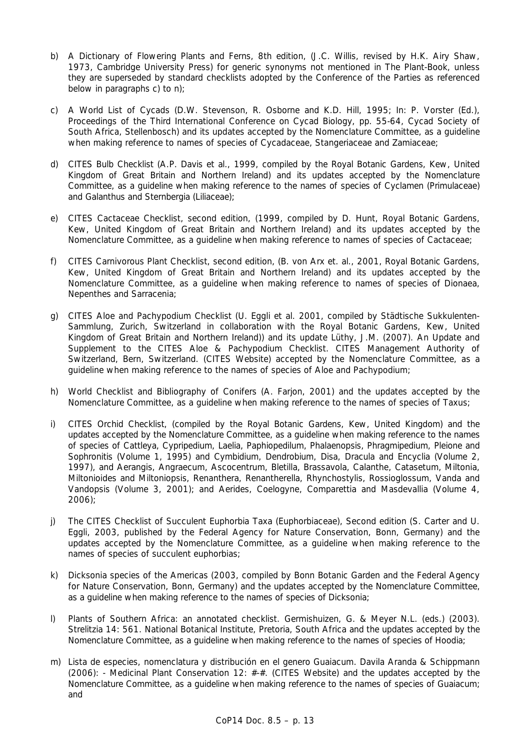- b) *A Dictionary of Flowering Plants and Ferns*, 8th edition, (J.C. Willis, revised by H.K. Airy Shaw, 1973, Cambridge University Press) for generic synonyms not mentioned in *The Plant-Book*, unless they are superseded by standard checklists adopted by the Conference of the Parties as referenced below in paragraphs c) to n);
- c) *A World List of Cycads* (D.W. Stevenson, R. Osborne and K.D. Hill, 1995; In: P. Vorster (Ed.), Proceedings of the Third International Conference on Cycad Biology, pp. 55-64, Cycad Society of South Africa, Stellenbosch) and its updates accepted by the Nomenclature Committee, as a guideline when making reference to names of species of Cycadaceae, Stangeriaceae and Zamiaceae;
- d) *CITES Bulb Checklist* (A.P. Davis et al., 1999, compiled by the Royal Botanic Gardens, Kew, United Kingdom of Great Britain and Northern Ireland) and its updates accepted by the Nomenclature Committee, as a guideline when making reference to the names of species of *Cyclamen* (Primulaceae) and *Galanthus* and *Sternbergia* (Liliaceae);
- e) *CITES Cactaceae Checklist,* second edition, (1999, compiled by D. Hunt, Royal Botanic Gardens, Kew, United Kingdom of Great Britain and Northern Ireland) and its updates accepted by the Nomenclature Committee, as a guideline when making reference to names of species of Cactaceae;
- f) *CITES Carnivorous Plant Checklist,* second edition, (B. von Arx et. al., 2001, Royal Botanic Gardens, Kew, United Kingdom of Great Britain and Northern Ireland) and its updates accepted by the Nomenclature Committee, as a guideline when making reference to names of species of *Dionaea, Nepenthes* and *Sarracenia*;
- g) *CITES Aloe and Pachypodium Checklist* (U. Eggli et al. 2001, compiled by Städtische Sukkulenten-Sammlung, Zurich, Switzerland in collaboration with the Royal Botanic Gardens, Kew, United Kingdom of Great Britain and Northern Ireland)) and its update Lüthy, J.M. (2007). An Update and Supplement to the CITES *Aloe* & *Pachypodium* Checklist. CITES Management Authority of Switzerland, Bern, Switzerland. (CITES Website) accepted by the Nomenclature Committee, as a guideline when making reference to the names of species of *Aloe* and *Pachypodium;*
- h) *World Checklist and Bibliography of Conifers* (A. Farjon, 2001) and the updates accepted by the Nomenclature Committee, as a guideline when making reference to the names of species of *Taxus;*
- i) *CITES Orchid Checklist*, (compiled by the Royal Botanic Gardens, Kew, United Kingdom) and the updates accepted by the Nomenclature Committee, as a guideline when making reference to the names of species of *Cattleya, Cypripedium, Laelia, Paphiopedilum, Phalaenopsis, Phragmipedium, Pleione* and *Sophronitis* (Volume 1, 1995) and *Cymbidium, Dendrobium, Disa, Dracula* and *Encyclia* (Volume 2, 1997), and *Aerangis, Angraecum, Ascocentrum, Bletilla, Brassavola, Calanthe, Catasetum, Miltonia, Miltonioides* and Miltoniopsis*, Renanthera, Renantherella, Rhynchostylis, Rossioglossum, Vanda and Vandopsis* (Volume 3, 2001); and *Aerides*, *Coelogyne*, *Comparettia* and *Masdevallia* (Volume 4, 2006);
- j) *The CITES Checklist of Succulent Euphorbia Taxa (Euphorbiaceae), Second edition* (S. Carter and U. Eggli, 2003, published by the Federal Agency for Nature Conservation, Bonn, Germany) and the updates accepted by the Nomenclature Committee, as a guideline when making reference to the names of species of succulent euphorbias;
- k) *Dicksonia species of the Americas* (2003, compiled by Bonn Botanic Garden and the Federal Agency for Nature Conservation, Bonn, Germany) and the updates accepted by the Nomenclature Committee, as a guideline when making reference to the names of species of *Dicksonia*;
- l) Plants of Southern Africa: an annotated checklist. Germishuizen, G. & Meyer N.L. (eds.) (2003). Strelitzia 14: 561. National Botanical Institute, Pretoria, South Africa and the updates accepted by the Nomenclature Committee, as a guideline when making reference to the names of species of *Hoodia;*
- m) Lista de especies, nomenclatura y distribución en el genero *Guaiacum*. Davila Aranda & Schippmann  $(2006)$ : - Medicinal Plant Conservation 12:  $\#$ - $\#$ . (CITES Website) and the updates accepted by the Nomenclature Committee, as a guideline when making reference to the names of species of *Guaiacum; and*